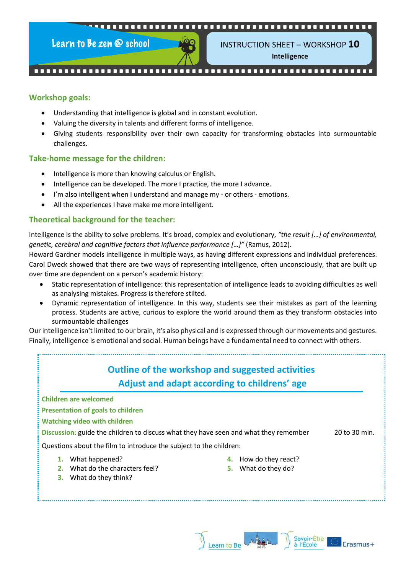

Learn to Be zen @ school



INSTRUCTION SHEET – WORKSHOP **10 Intelligence**

#### **Workshop goals:**

- Understanding that intelligence is global and in constant evolution.
- Valuing the diversity in talents and different forms of intelligence.
- Giving students responsibility over their own capacity for transforming obstacles into surmountable challenges.

#### **Take-home message for the children:**

- Intelligence is more than knowing calculus or English.
- Intelligence can be developed. The more I practice, the more I advance.
- I'm also intelligent when I understand and manage my or others emotions.
- All the experiences I have make me more intelligent.

#### **Theoretical background for the teacher:**

Intelligence is the ability to solve problems. It's broad, complex and evolutionary, *"the result […] of environmental, genetic, cerebral and cognitive factors that influence performance […]"* (Ramus, 2012).

Howard Gardner models intelligence in multiple ways, as having different expressions and individual preferences. Carol Dweck showed that there are two ways of representing intelligence, often unconsciously, that are built up over time are dependent on a person's academic history:

- Static representation of intelligence: this representation of intelligence leads to avoiding difficulties as well as analysing mistakes. Progress is therefore stilted.
- Dynamic representation of intelligence. In this way, students see their mistakes as part of the learning process. Students are active, curious to explore the world around them as they transform obstacles into surmountable challenges

Our intelligence isn't limited to our brain, it's also physical and is expressed through our movements and gestures. Finally, intelligence is emotional and social. Human beings have a fundamental need to connect with others.

# **Outline of the workshop and suggested activities Adjust and adapt according to childrens' age**

**Children are welcomed**

**Presentation of goals to children**

**Watching video with children**

**Discussion:** guide the children to discuss what they have seen and what they remember 20 to 30 min.

Questions about the film to introduce the subject to the children:

**1.** What happened?

**4.** How do they react?

**2.** What do the characters feel?

**5.** What do they do?

**3.** What do they think?